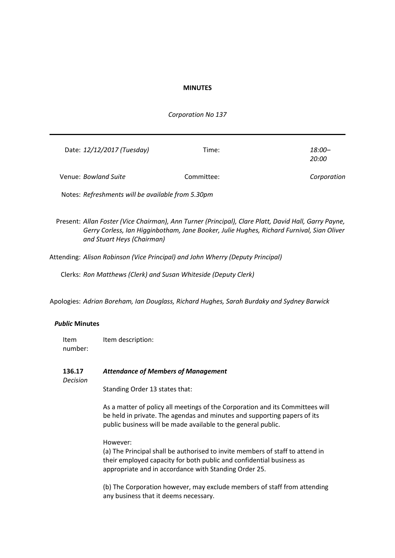### **MINUTES**

### *Corporation No 137*

| Date: 12/12/2017 (Tuesday)                        | Time:      | $18:00-$<br><i>20:00</i> |
|---------------------------------------------------|------------|--------------------------|
| Venue: <i>Bowland Suite</i>                       | Committee: | Corporation              |
| Notes: Refreshments will be available from 5.30pm |            |                          |

Present: *Allan Foster (Vice Chairman), Ann Turner (Principal), Clare Platt, David Hall, Garry Payne, Gerry Corless, Ian Higginbotham, Jane Booker, Julie Hughes, Richard Furnival, Sian Oliver and Stuart Heys (Chairman)*

Attending: *Alison Robinson (Vice Principal) and John Wherry (Deputy Principal)*

Clerks: *Ron Matthews (Clerk) and Susan Whiteside (Deputy Clerk)*

Apologies: *Adrian Boreham, Ian Douglass, Richard Hughes, Sarah Burdaky and Sydney Barwick*

### *Public* **Minutes**

Item number: Item description:

**136.17** *Attendance of Members of Management*

*Decision*

Standing Order 13 states that:

As a matter of policy all meetings of the Corporation and its Committees will be held in private. The agendas and minutes and supporting papers of its public business will be made available to the general public.

### However:

(a) The Principal shall be authorised to invite members of staff to attend in their employed capacity for both public and confidential business as appropriate and in accordance with Standing Order 25.

(b) The Corporation however, may exclude members of staff from attending any business that it deems necessary.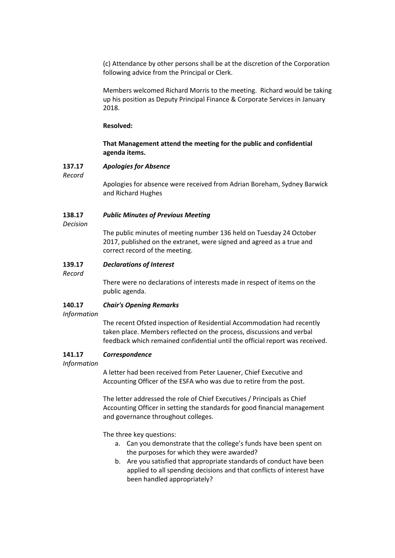(c) Attendance by other persons shall be at the discretion of the Corporation following advice from the Principal or Clerk.

Members welcomed Richard Morris to the meeting. Richard would be taking up his position as Deputy Principal Finance & Corporate Services in January 2018.

### **Resolved:**

## **That Management attend the meeting for the public and confidential agenda items.**

#### **137.17** *Apologies for Absence*

*Record*

Apologies for absence were received from Adrian Boreham, Sydney Barwick and Richard Hughes

#### **138.17** *Public Minutes of Previous Meeting*

*Decision*

The public minutes of meeting number 136 held on Tuesday 24 October 2017, published on the extranet, were signed and agreed as a true and correct record of the meeting.

#### **139.17** *Declarations of Interest*

*Record*

There were no declarations of interests made in respect of items on the public agenda.

#### **140.17** *Chair's Opening Remarks*

*Information*

The recent Ofsted inspection of Residential Accommodation had recently taken place. Members reflected on the process, discussions and verbal feedback which remained confidential until the official report was received.

#### **141.17** *Correspondence*

*Information*

A letter had been received from Peter Lauener, Chief Executive and Accounting Officer of the ESFA who was due to retire from the post.

The letter addressed the role of Chief Executives / Principals as Chief Accounting Officer in setting the standards for good financial management and governance throughout colleges.

The three key questions:

- a. Can you demonstrate that the college's funds have been spent on the purposes for which they were awarded?
- b. Are you satisfied that appropriate standards of conduct have been applied to all spending decisions and that conflicts of interest have been handled appropriately?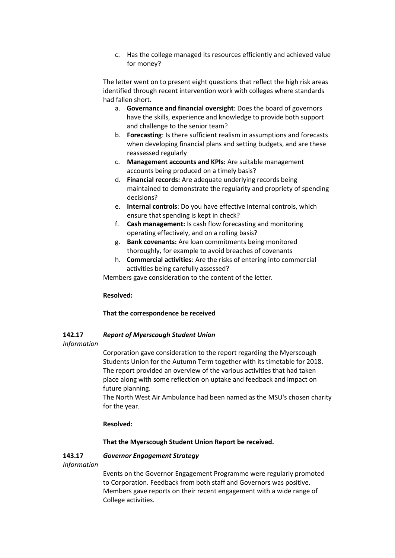c. Has the college managed its resources efficiently and achieved value for money?

The letter went on to present eight questions that reflect the high risk areas identified through recent intervention work with colleges where standards had fallen short.

- a. **Governance and financial oversight**: Does the board of governors have the skills, experience and knowledge to provide both support and challenge to the senior team?
- b. **Forecasting**: Is there sufficient realism in assumptions and forecasts when developing financial plans and setting budgets, and are these reassessed regularly
- c. **Management accounts and KPIs:** Are suitable management accounts being produced on a timely basis?
- d. **Financial records:** Are adequate underlying records being maintained to demonstrate the regularity and propriety of spending decisions?
- e. **Internal controls**: Do you have effective internal controls, which ensure that spending is kept in check?
- f. **Cash management:** Is cash flow forecasting and monitoring operating effectively, and on a rolling basis?
- g. **Bank covenants:** Are loan commitments being monitored thoroughly, for example to avoid breaches of covenants
- h. **Commercial activities**: Are the risks of entering into commercial activities being carefully assessed?

Members gave consideration to the content of the letter.

## **Resolved:**

# **That the correspondence be received**

#### **142.17** *Report of Myerscough Student Union*

*Information*

Corporation gave consideration to the report regarding the Myerscough Students Union for the Autumn Term together with its timetable for 2018. The report provided an overview of the various activities that had taken place along with some reflection on uptake and feedback and impact on future planning.

The North West Air Ambulance had been named as the MSU's chosen charity for the year.

# **Resolved:**

# **That the Myerscough Student Union Report be received.**

#### **143.17** *Governor Engagement Strategy*

*Information*

Events on the Governor Engagement Programme were regularly promoted to Corporation. Feedback from both staff and Governors was positive. Members gave reports on their recent engagement with a wide range of College activities.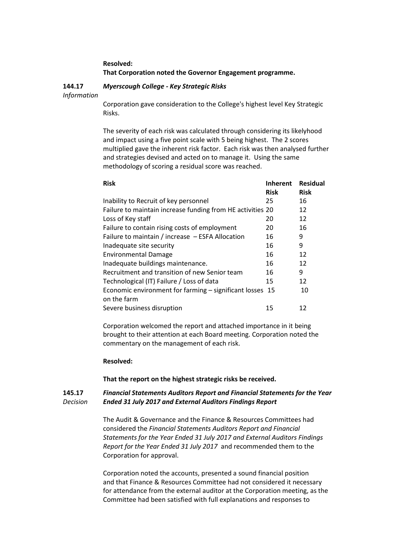# **Resolved: That Corporation noted the Governor Engagement programme.**

#### **144.17** *Information Myerscough College - Key Strategic Risks*

Corporation gave consideration to the College's highest level Key Strategic Risks.

The severity of each risk was calculated through considering its likelyhood and impact using a five point scale with 5 being highest. The 2 scores multiplied gave the inherent risk factor. Each risk was then analysed further and strategies devised and acted on to manage it. Using the same methodology of scoring a residual score was reached.

| <b>Risk</b>                                                | <b>Inherent</b> | <b>Residual</b> |
|------------------------------------------------------------|-----------------|-----------------|
|                                                            | <b>Risk</b>     | <b>Risk</b>     |
| Inability to Recruit of key personnel                      | 25              | 16              |
| Failure to maintain increase funding from HE activities 20 |                 | 12              |
| Loss of Key staff                                          | 20              | 12              |
| Failure to contain rising costs of employment              | 20              | 16              |
| Failure to maintain / increase - ESFA Allocation           | 16              | 9               |
| Inadequate site security                                   | 16              | 9               |
| <b>Environmental Damage</b>                                | 16              | 12              |
| Inadequate buildings maintenance.                          | 16              | 12              |
| Recruitment and transition of new Senior team              | 16              | 9               |
| Technological (IT) Failure / Loss of data                  | 15              | 12              |
| Economic environment for farming - significant losses 15   |                 | 10              |
| on the farm                                                |                 |                 |
| Severe business disruption                                 | 15              | 12              |

Corporation welcomed the report and attached importance in it being brought to their attention at each Board meeting. Corporation noted the commentary on the management of each risk.

## **Resolved:**

**That the report on the highest strategic risks be received.**

#### **145.17** *Decision Financial Statements Auditors Report and Financial Statements for the Year Ended 31 July 2017 and External Auditors Findings Report*

The Audit & Governance and the Finance & Resources Committees had considered the *Financial Statements Auditors Report and Financial Statements for the Year Ended 31 July 2017 and External Auditors Findings Report for the Year Ended 31 July 2017* and recommended them to the Corporation for approval.

Corporation noted the accounts, presented a sound financial position and that Finance & Resources Committee had not considered it necessary for attendance from the external auditor at the Corporation meeting, as the Committee had been satisfied with full explanations and responses to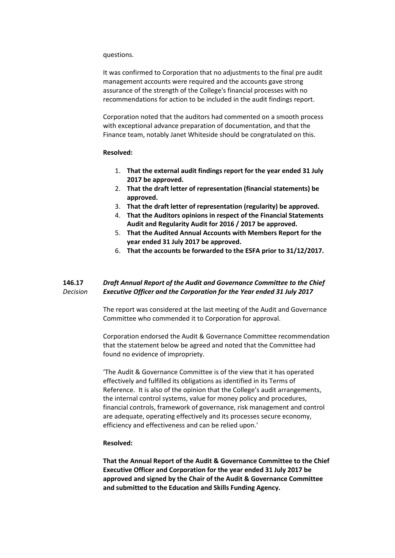#### questions.

It was confirmed to Corporation that no adjustments to the final pre audit management accounts were required and the accounts gave strong assurance of the strength of the College's financial processes with no recommendations for action to be included in the audit findings report.

Corporation noted that the auditors had commented on a smooth process with exceptional advance preparation of documentation, and that the Finance team, notably Janet Whiteside should be congratulated on this.

#### **Resolved:**

- 1. **That the external audit findings report for the year ended 31 July 2017 be approved.**
- 2. **That the draft letter of representation (financial statements) be approved.**
- 3. **That the draft letter of representation (regularity) be approved.**
- 4. **That the Auditors opinions in respect of the Financial Statements Audit and Regularity Audit for 2016 / 2017 be approved.**
- 5. **That the Audited Annual Accounts with Members Report for the year ended 31 July 2017 be approved.**
- 6. **That the accounts be forwarded to the ESFA prior to 31/12/2017.**

#### **146.17** *Decision Draft Annual Report of the Audit and Governance Committee to the Chief Executive Officer and the Corporation for the Year ended 31 July 2017*

The report was considered at the last meeting of the Audit and Governance Committee who commended it to Corporation for approval.

Corporation endorsed the Audit & Governance Committee recommendation that the statement below be agreed and noted that the Committee had found no evidence of impropriety.

'The Audit & Governance Committee is of the view that it has operated effectively and fulfilled its obligations as identified in its Terms of Reference. It is also of the opinion that the College's audit arrangements, the internal control systems, value for money policy and procedures, financial controls, framework of governance, risk management and control are adequate, operating effectively and its processes secure economy, efficiency and effectiveness and can be relied upon.'

## **Resolved:**

**That the Annual Report of the Audit & Governance Committee to the Chief Executive Officer and Corporation for the year ended 31 July 2017 be approved and signed by the Chair of the Audit & Governance Committee and submitted to the Education and Skills Funding Agency.**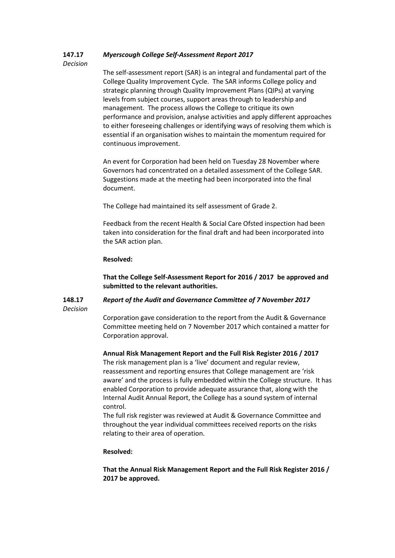#### **147.17** *Myerscough College Self-Assessment Report 2017*

## *Decision*

The self-assessment report (SAR) is an integral and fundamental part of the College Quality Improvement Cycle. The SAR informs College policy and strategic planning through Quality Improvement Plans (QIPs) at varying levels from subject courses, support areas through to leadership and management. The process allows the College to critique its own performance and provision, analyse activities and apply different approaches to either foreseeing challenges or identifying ways of resolving them which is essential if an organisation wishes to maintain the momentum required for continuous improvement.

An event for Corporation had been held on Tuesday 28 November where Governors had concentrated on a detailed assessment of the College SAR. Suggestions made at the meeting had been incorporated into the final document.

The College had maintained its self assessment of Grade 2.

Feedback from the recent Health & Social Care Ofsted inspection had been taken into consideration for the final draft and had been incorporated into the SAR action plan.

# **Resolved:**

**That the College Self-Assessment Report for 2016 / 2017 be approved and submitted to the relevant authorities.**

#### **148.17** *Decision Report of the Audit and Governance Committee of 7 November 2017*

Corporation gave consideration to the report from the Audit & Governance Committee meeting held on 7 November 2017 which contained a matter for Corporation approval.

## **Annual Risk Management Report and the Full Risk Register 2016 / 2017**

The risk management plan is a 'live' document and regular review, reassessment and reporting ensures that College management are 'risk aware' and the process is fully embedded within the College structure. It has enabled Corporation to provide adequate assurance that, along with the Internal Audit Annual Report, the College has a sound system of internal control.

The full risk register was reviewed at Audit & Governance Committee and throughout the year individual committees received reports on the risks relating to their area of operation.

## **Resolved:**

**That the Annual Risk Management Report and the Full Risk Register 2016 / 2017 be approved.**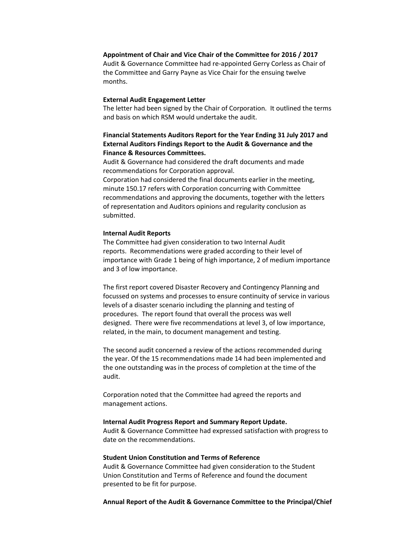## **Appointment of Chair and Vice Chair of the Committee for 2016 / 2017**

Audit & Governance Committee had re-appointed Gerry Corless as Chair of the Committee and Garry Payne as Vice Chair for the ensuing twelve months.

### **External Audit Engagement Letter**

The letter had been signed by the Chair of Corporation. It outlined the terms and basis on which RSM would undertake the audit.

# **Financial Statements Auditors Report for the Year Ending 31 July 2017 and External Auditors Findings Report to the Audit & Governance and the Finance & Resources Committees.**

Audit & Governance had considered the draft documents and made recommendations for Corporation approval.

Corporation had considered the final documents earlier in the meeting, minute 150.17 refers with Corporation concurring with Committee recommendations and approving the documents, together with the letters of representation and Auditors opinions and regularity conclusion as submitted.

#### **Internal Audit Reports**

The Committee had given consideration to two Internal Audit reports. Recommendations were graded according to their level of importance with Grade 1 being of high importance, 2 of medium importance and 3 of low importance.

The first report covered Disaster Recovery and Contingency Planning and focussed on systems and processes to ensure continuity of service in various levels of a disaster scenario including the planning and testing of procedures. The report found that overall the process was well designed. There were five recommendations at level 3, of low importance, related, in the main, to document management and testing.

The second audit concerned a review of the actions recommended during the year. Of the 15 recommendations made 14 had been implemented and the one outstanding was in the process of completion at the time of the audit.

Corporation noted that the Committee had agreed the reports and management actions.

#### **Internal Audit Progress Report and Summary Report Update.**

Audit & Governance Committee had expressed satisfaction with progress to date on the recommendations.

#### **Student Union Constitution and Terms of Reference**

Audit & Governance Committee had given consideration to the Student Union Constitution and Terms of Reference and found the document presented to be fit for purpose.

### **Annual Report of the Audit & Governance Committee to the Principal/Chief**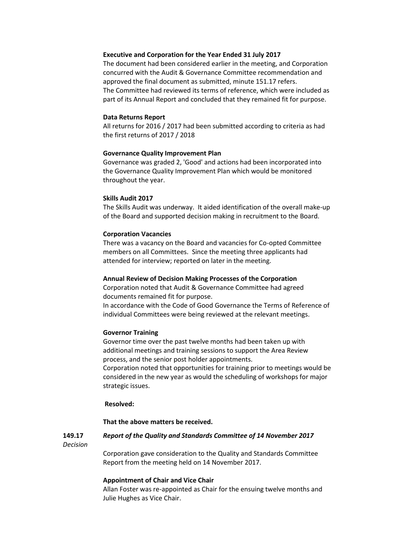## **Executive and Corporation for the Year Ended 31 July 2017**

The document had been considered earlier in the meeting, and Corporation concurred with the Audit & Governance Committee recommendation and approved the final document as submitted, minute 151.17 refers. The Committee had reviewed its terms of reference, which were included as part of its Annual Report and concluded that they remained fit for purpose.

#### **Data Returns Report**

All returns for 2016 / 2017 had been submitted according to criteria as had the first returns of 2017 / 2018

#### **Governance Quality Improvement Plan**

Governance was graded 2, 'Good' and actions had been incorporated into the Governance Quality Improvement Plan which would be monitored throughout the year.

### **Skills Audit 2017**

The Skills Audit was underway. It aided identification of the overall make-up of the Board and supported decision making in recruitment to the Board.

#### **Corporation Vacancies**

There was a vacancy on the Board and vacancies for Co-opted Committee members on all Committees. Since the meeting three applicants had attended for interview; reported on later in the meeting.

### **Annual Review of Decision Making Processes of the Corporation**

Corporation noted that Audit & Governance Committee had agreed documents remained fit for purpose.

In accordance with the Code of Good Governance the Terms of Reference of individual Committees were being reviewed at the relevant meetings.

#### **Governor Training**

Governor time over the past twelve months had been taken up with additional meetings and training sessions to support the Area Review process, and the senior post holder appointments.

Corporation noted that opportunities for training prior to meetings would be considered in the new year as would the scheduling of workshops for major strategic issues.

#### **Resolved:**

#### **That the above matters be received.**

#### **149.17** *Report of the Quality and Standards Committee of 14 November 2017*

*Decision*

Corporation gave consideration to the Quality and Standards Committee Report from the meeting held on 14 November 2017.

#### **Appointment of Chair and Vice Chair**

Allan Foster was re-appointed as Chair for the ensuing twelve months and Julie Hughes as Vice Chair.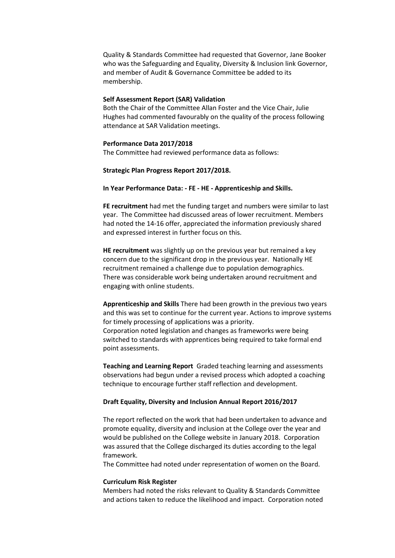Quality & Standards Committee had requested that Governor, Jane Booker who was the Safeguarding and Equality, Diversity & Inclusion link Governor, and member of Audit & Governance Committee be added to its membership.

### **Self Assessment Report (SAR) Validation**

Both the Chair of the Committee Allan Foster and the Vice Chair, Julie Hughes had commented favourably on the quality of the process following attendance at SAR Validation meetings.

#### **Performance Data 2017/2018**

The Committee had reviewed performance data as follows:

### **Strategic Plan Progress Report 2017/2018.**

#### **In Year Performance Data: - FE - HE - Apprenticeship and Skills.**

**FE recruitment** had met the funding target and numbers were similar to last year. The Committee had discussed areas of lower recruitment. Members had noted the 14-16 offer, appreciated the information previously shared and expressed interest in further focus on this.

**HE recruitment** was slightly up on the previous year but remained a key concern due to the significant drop in the previous year. Nationally HE recruitment remained a challenge due to population demographics. There was considerable work being undertaken around recruitment and engaging with online students.

**Apprenticeship and Skills** There had been growth in the previous two years and this was set to continue for the current year. Actions to improve systems for timely processing of applications was a priority. Corporation noted legislation and changes as frameworks were being switched to standards with apprentices being required to take formal end point assessments.

**Teaching and Learning Report** Graded teaching learning and assessments observations had begun under a revised process which adopted a coaching technique to encourage further staff reflection and development.

#### **Draft Equality, Diversity and Inclusion Annual Report 2016/2017**

The report reflected on the work that had been undertaken to advance and promote equality, diversity and inclusion at the College over the year and would be published on the College website in January 2018. Corporation was assured that the College discharged its duties according to the legal framework.

The Committee had noted under representation of women on the Board.

### **Curriculum Risk Register**

Members had noted the risks relevant to Quality & Standards Committee and actions taken to reduce the likelihood and impact. Corporation noted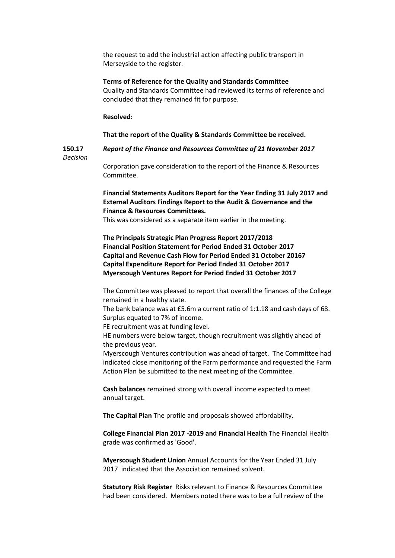the request to add the industrial action affecting public transport in Merseyside to the register.

#### **Terms of Reference for the Quality and Standards Committee**

Quality and Standards Committee had reviewed its terms of reference and concluded that they remained fit for purpose.

#### **Resolved:**

#### **That the report of the Quality & Standards Committee be received.**

**150.17** *Report of the Finance and Resources Committee of 21 November 2017*

*Decision*

Corporation gave consideration to the report of the Finance & Resources Committee.

**Financial Statements Auditors Report for the Year Ending 31 July 2017 and External Auditors Findings Report to the Audit & Governance and the Finance & Resources Committees.**

This was considered as a separate item earlier in the meeting.

**The Principals Strategic Plan Progress Report 2017/2018 Financial Position Statement for Period Ended 31 October 2017 Capital and Revenue Cash Flow for Period Ended 31 October 20167 Capital Expenditure Report for Period Ended 31 October 2017 Myerscough Ventures Report for Period Ended 31 October 2017**

The Committee was pleased to report that overall the finances of the College remained in a healthy state.

The bank balance was at £5.6m a current ratio of 1:1.18 and cash days of 68. Surplus equated to 7% of income.

FE recruitment was at funding level.

HE numbers were below target, though recruitment was slightly ahead of the previous year.

Myerscough Ventures contribution was ahead of target. The Committee had indicated close monitoring of the Farm performance and requested the Farm Action Plan be submitted to the next meeting of the Committee.

**Cash balances** remained strong with overall income expected to meet annual target.

**The Capital Plan** The profile and proposals showed affordability.

**College Financial Plan 2017 -2019 and Financial Health** The Financial Health grade was confirmed as 'Good'.

**Myerscough Student Union** Annual Accounts for the Year Ended 31 July 2017 indicated that the Association remained solvent.

**Statutory Risk Register** Risks relevant to Finance & Resources Committee had been considered. Members noted there was to be a full review of the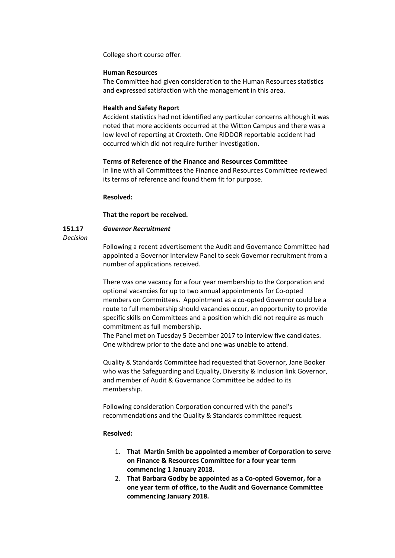College short course offer.

### **Human Resources**

The Committee had given consideration to the Human Resources statistics and expressed satisfaction with the management in this area.

## **Health and Safety Report**

Accident statistics had not identified any particular concerns although it was noted that more accidents occurred at the Witton Campus and there was a low level of reporting at Croxteth. One RIDDOR reportable accident had occurred which did not require further investigation.

## **Terms of Reference of the Finance and Resources Committee**

In line with all Committees the Finance and Resources Committee reviewed its terms of reference and found them fit for purpose.

## **Resolved:**

## **That the report be received.**

#### **151.17** *Governor Recruitment*

### *Decision*

Following a recent advertisement the Audit and Governance Committee had appointed a Governor Interview Panel to seek Governor recruitment from a number of applications received.

There was one vacancy for a four year membership to the Corporation and optional vacancies for up to two annual appointments for Co-opted members on Committees. Appointment as a co-opted Governor could be a route to full membership should vacancies occur, an opportunity to provide specific skills on Committees and a position which did not require as much commitment as full membership.

The Panel met on Tuesday 5 December 2017 to interview five candidates. One withdrew prior to the date and one was unable to attend.

Quality & Standards Committee had requested that Governor, Jane Booker who was the Safeguarding and Equality, Diversity & Inclusion link Governor, and member of Audit & Governance Committee be added to its membership.

Following consideration Corporation concurred with the panel's recommendations and the Quality & Standards committee request.

## **Resolved:**

- 1. **That Martin Smith be appointed a member of Corporation to serve on Finance & Resources Committee for a four year term commencing 1 January 2018.**
- 2. **That Barbara Godby be appointed as a Co-opted Governor, for a one year term of office, to the Audit and Governance Committee commencing January 2018.**